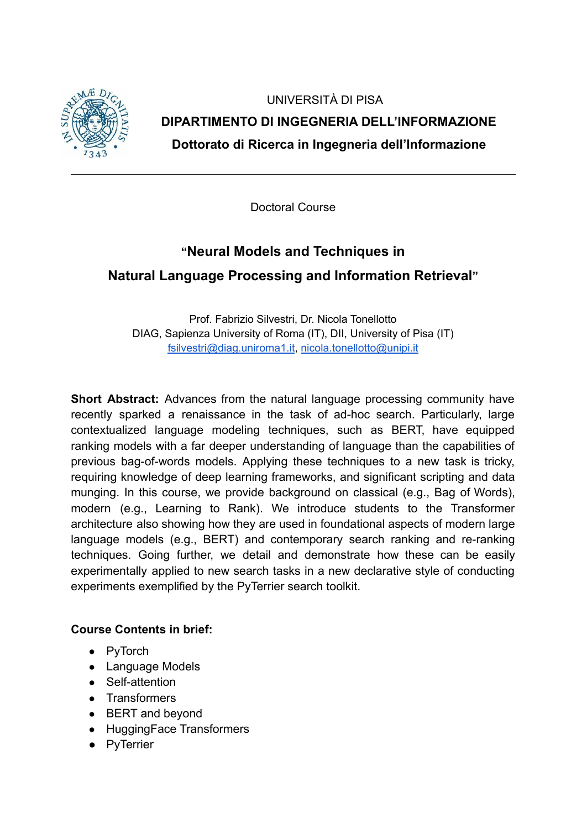

UNIVERSITÀ DI PISA **DIPARTIMENTO DI INGEGNERIA DELL'INFORMAZIONE Dottorato di Ricerca in Ingegneria dell'Informazione**

Doctoral Course

# **"Neural Models and Techniques in**

## **Natural Language Processing and Information Retrieval"**

Prof. Fabrizio Silvestri, Dr. Nicola Tonellotto DIAG, Sapienza University of Roma (IT), DII, University of Pisa (IT) [fsilvestri@diag.uniroma1.it](mailto:fsilvestri@diag.uniroma1.it), [nicola.tonellotto@unipi.it](mailto:nicola.tonellotto@unipi.it)

**Short Abstract:** Advances from the natural language processing community have recently sparked a renaissance in the task of ad-hoc search. Particularly, large contextualized language modeling techniques, such as BERT, have equipped ranking models with a far deeper understanding of language than the capabilities of previous bag-of-words models. Applying these techniques to a new task is tricky, requiring knowledge of deep learning frameworks, and significant scripting and data munging. In this course, we provide background on classical (e.g., Bag of Words), modern (e.g., Learning to Rank). We introduce students to the Transformer architecture also showing how they are used in foundational aspects of modern large language models (e.g., BERT) and contemporary search ranking and re-ranking techniques. Going further, we detail and demonstrate how these can be easily experimentally applied to new search tasks in a new declarative style of conducting experiments exemplified by the PyTerrier search toolkit.

#### **Course Contents in brief:**

- PyTorch
- Language Models
- Self-attention
- Transformers
- BERT and beyond
- HuggingFace Transformers
- PyTerrier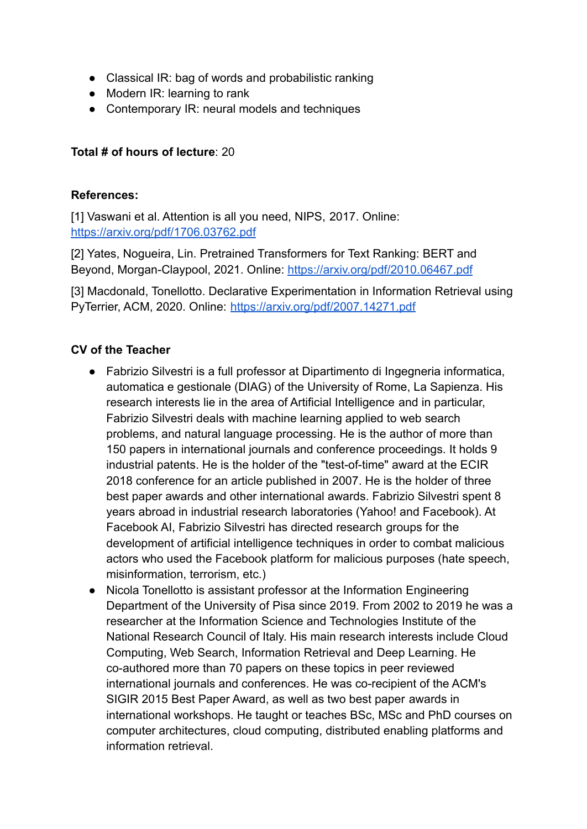- Classical IR: bag of words and probabilistic ranking
- Modern IR: learning to rank
- Contemporary IR: neural models and techniques

#### **Total # of hours of lecture**: 20

#### **References:**

[1] Vaswani et al. Attention is all you need, NIPS, 2017. Online: <https://arxiv.org/pdf/1706.03762.pdf>

[2] Yates, Nogueira, Lin. Pretrained Transformers for Text Ranking: BERT and Beyond, Morgan-Claypool, 2021. Online: <https://arxiv.org/pdf/2010.06467.pdf>

[3] Macdonald, Tonellotto. Declarative Experimentation in Information Retrieval using PyTerrier, ACM, 2020. Online: <https://arxiv.org/pdf/2007.14271.pdf>

### **CV of the Teacher**

- Fabrizio Silvestri is a full professor at Dipartimento di Ingegneria informatica, automatica e gestionale (DIAG) of the University of Rome, La Sapienza. His research interests lie in the area of Artificial Intelligence and in particular, Fabrizio Silvestri deals with machine learning applied to web search problems, and natural language processing. He is the author of more than 150 papers in international journals and conference proceedings. It holds 9 industrial patents. He is the holder of the "test-of-time" award at the ECIR 2018 conference for an article published in 2007. He is the holder of three best paper awards and other international awards. Fabrizio Silvestri spent 8 years abroad in industrial research laboratories (Yahoo! and Facebook). At Facebook AI, Fabrizio Silvestri has directed research groups for the development of artificial intelligence techniques in order to combat malicious actors who used the Facebook platform for malicious purposes (hate speech, misinformation, terrorism, etc.)
- Nicola Tonellotto is assistant professor at the Information Engineering Department of the University of Pisa since 2019. From 2002 to 2019 he was a researcher at the Information Science and Technologies Institute of the National Research Council of Italy. His main research interests include Cloud Computing, Web Search, Information Retrieval and Deep Learning. He co-authored more than 70 papers on these topics in peer reviewed international journals and conferences. He was co-recipient of the ACM's SIGIR 2015 Best Paper Award, as well as two best paper awards in international workshops. He taught or teaches BSc, MSc and PhD courses on computer architectures, cloud computing, distributed enabling platforms and information retrieval.